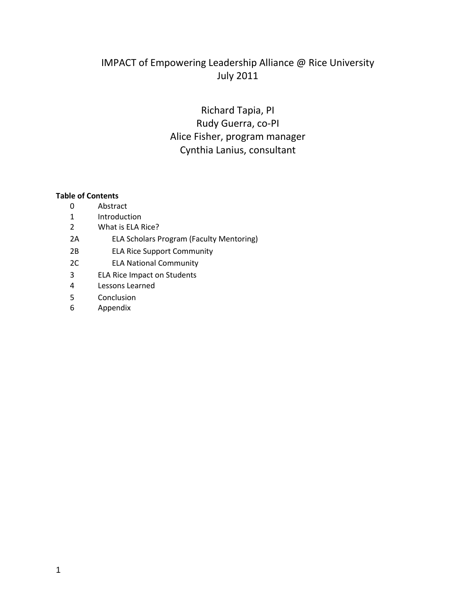# IMPACT of Empowering Leadership Alliance @ Rice University July 2011

# Richard Tapia, PI Rudy Guerra, co-PI Alice Fisher, program manager Cynthia Lanius, consultant

#### **Table of Contents**

- 0 Abstract
- 1 Introduction
- 2 What is ELA Rice?
- 2A ELA Scholars Program (Faculty Mentoring)
- 2B ELA Rice Support Community
- 2C ELA National Community
- 3 ELA Rice Impact on Students
- 4 Lessons Learned
- 5 Conclusion
- 6 Appendix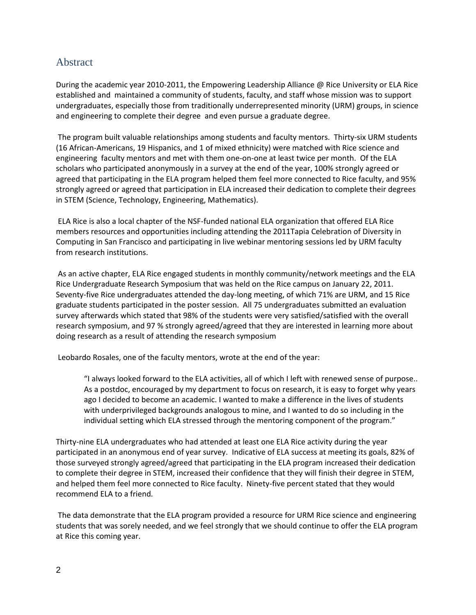### Abstract

During the academic year 2010-2011, the Empowering Leadership Alliance @ Rice University or ELA Rice established and maintained a community of students, faculty, and staff whose mission was to support undergraduates, especially those from traditionally underrepresented minority (URM) groups, in science and engineering to complete their degree and even pursue a graduate degree.

The program built valuable relationships among students and faculty mentors. Thirty-six URM students (16 African-Americans, 19 Hispanics, and 1 of mixed ethnicity) were matched with Rice science and engineering faculty mentors and met with them one-on-one at least twice per month. Of the ELA scholars who participated anonymously in a survey at the end of the year, 100% strongly agreed or agreed that participating in the ELA program helped them feel more connected to Rice faculty, and 95% strongly agreed or agreed that participation in ELA increased their dedication to complete their degrees in STEM (Science, Technology, Engineering, Mathematics).

ELA Rice is also a local chapter of the NSF-funded national ELA organization that offered ELA Rice members resources and opportunities including attending the 2011Tapia Celebration of Diversity in Computing in San Francisco and participating in live webinar mentoring sessions led by URM faculty from research institutions.

As an active chapter, ELA Rice engaged students in monthly community/network meetings and the ELA Rice Undergraduate Research Symposium that was held on the Rice campus on January 22, 2011. Seventy-five Rice undergraduates attended the day-long meeting, of which 71% are URM, and 15 Rice graduate students participated in the poster session. All 75 undergraduates submitted an evaluation survey afterwards which stated that 98% of the students were very satisfied/satisfied with the overall research symposium, and 97 % strongly agreed/agreed that they are interested in learning more about doing research as a result of attending the research symposium

Leobardo Rosales, one of the faculty mentors, wrote at the end of the year:

"I always looked forward to the ELA activities, all of which I left with renewed sense of purpose.. As a postdoc, encouraged by my department to focus on research, it is easy to forget why years ago I decided to become an academic. I wanted to make a difference in the lives of students with underprivileged backgrounds analogous to mine, and I wanted to do so including in the individual setting which ELA stressed through the mentoring component of the program."

Thirty-nine ELA undergraduates who had attended at least one ELA Rice activity during the year participated in an anonymous end of year survey. Indicative of ELA success at meeting its goals, 82% of those surveyed strongly agreed/agreed that participating in the ELA program increased their dedication to complete their degree in STEM, increased their confidence that they will finish their degree in STEM, and helped them feel more connected to Rice faculty. Ninety-five percent stated that they would recommend ELA to a friend.

The data demonstrate that the ELA program provided a resource for URM Rice science and engineering students that was sorely needed, and we feel strongly that we should continue to offer the ELA program at Rice this coming year.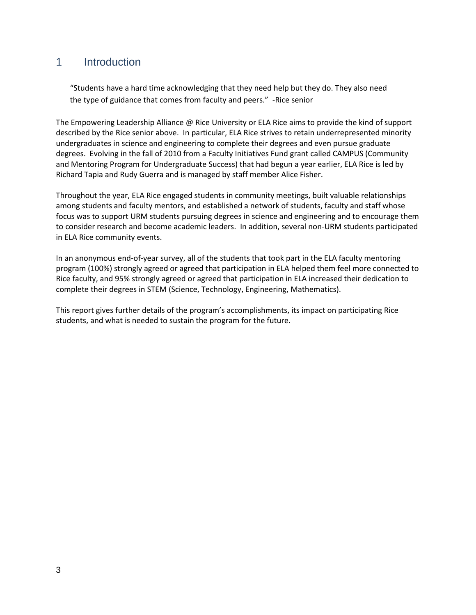### 1 Introduction

"Students have a hard time acknowledging that they need help but they do. They also need the type of guidance that comes from faculty and peers." -Rice senior

The Empowering Leadership Alliance @ Rice University or ELA Rice aims to provide the kind of support described by the Rice senior above. In particular, ELA Rice strives to retain underrepresented minority undergraduates in science and engineering to complete their degrees and even pursue graduate degrees. Evolving in the fall of 2010 from a Faculty Initiatives Fund grant called CAMPUS (Community and Mentoring Program for Undergraduate Success) that had begun a year earlier, ELA Rice is led by Richard Tapia and Rudy Guerra and is managed by staff member Alice Fisher.

Throughout the year, ELA Rice engaged students in community meetings, built valuable relationships among students and faculty mentors, and established a network of students, faculty and staff whose focus was to support URM students pursuing degrees in science and engineering and to encourage them to consider research and become academic leaders. In addition, several non-URM students participated in ELA Rice community events.

In an anonymous end-of-year survey, all of the students that took part in the ELA faculty mentoring program (100%) strongly agreed or agreed that participation in ELA helped them feel more connected to Rice faculty, and 95% strongly agreed or agreed that participation in ELA increased their dedication to complete their degrees in STEM (Science, Technology, Engineering, Mathematics).

This report gives further details of the program's accomplishments, its impact on participating Rice students, and what is needed to sustain the program for the future.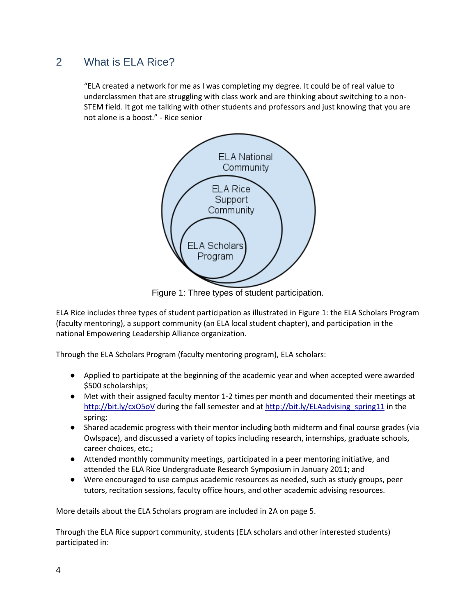### 2 What is ELA Rice?

"ELA created a network for me as I was completing my degree. It could be of real value to underclassmen that are struggling with class work and are thinking about switching to a non-STEM field. It got me talking with other students and professors and just knowing that you are not alone is a boost." - Rice senior



Figure 1: Three types of student participation.

ELA Rice includes three types of student participation as illustrated in Figure 1: the ELA Scholars Program (faculty mentoring), a support community (an ELA local student chapter), and participation in the national Empowering Leadership Alliance organization.

Through the ELA Scholars Program (faculty mentoring program), ELA scholars:

- Applied to participate at the beginning of the academic year and when accepted were awarded \$500 scholarships;
- Met with their assigned faculty mentor 1-2 times per month and documented their meetings at <http://bit.ly/cxO5oV> during the fall semester and at [http://bit.ly/ELAadvising\\_spring11](http://bit.ly/ELAadvising_spring11) in the spring;
- Shared academic progress with their mentor including both midterm and final course grades (via Owlspace), and discussed a variety of topics including research, internships, graduate schools, career choices, etc.;
- Attended monthly community meetings, participated in a peer mentoring initiative, and attended the ELA Rice Undergraduate Research Symposium in January 2011; and
- Were encouraged to use campus academic resources as needed, such as study groups, peer tutors, recitation sessions, faculty office hours, and other academic advising resources.

More details about the ELA Scholars program are included in 2A on page 5.

Through the ELA Rice support community, students (ELA scholars and other interested students) participated in: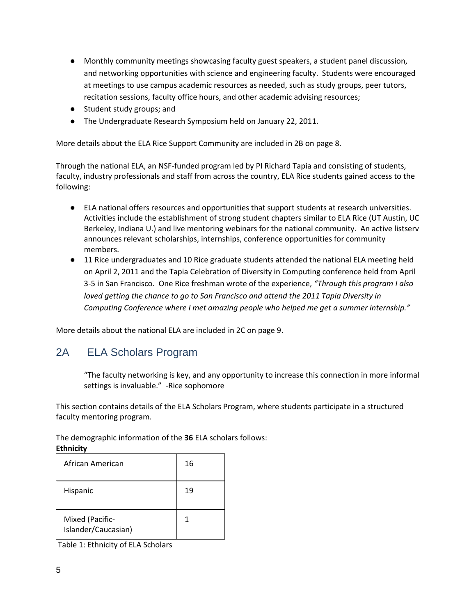- Monthly community meetings showcasing faculty guest speakers, a student panel discussion, and networking opportunities with science and engineering faculty. Students were encouraged at meetings to use campus academic resources as needed, such as study groups, peer tutors, recitation sessions, faculty office hours, and other academic advising resources;
- Student study groups; and
- The Undergraduate Research Symposium held on January 22, 2011.

More details about the ELA Rice Support Community are included in 2B on page 8.

Through the national ELA, an NSF-funded program led by PI Richard Tapia and consisting of students, faculty, industry professionals and staff from across the country, ELA Rice students gained access to the following:

- ELA national offers resources and opportunities that support students at research universities. Activities include the establishment of strong student chapters similar to ELA Rice (UT Austin, UC Berkeley, Indiana U.) and live mentoring webinars for the national community. An active listserv announces relevant scholarships, internships, conference opportunities for community members.
- 11 Rice undergraduates and 10 Rice graduate students attended the national ELA meeting held on April 2, 2011 and the Tapia Celebration of Diversity in Computing conference held from April 3-5 in San Francisco. One Rice freshman wrote of the experience, *"Through this program I also loved getting the chance to go to San Francisco and attend the 2011 Tapia Diversity in Computing Conference where I met amazing people who helped me get a summer internship."*

More details about the national ELA are included in 2C on page 9.

# 2A ELA Scholars Program

"The faculty networking is key, and any opportunity to increase this connection in more informal settings is invaluable." -Rice sophomore

This section contains details of the ELA Scholars Program, where students participate in a structured faculty mentoring program.

The demographic information of the **36** ELA scholars follows:

#### **Ethnicity**

| African American                       | 16 |
|----------------------------------------|----|
| Hispanic                               | 19 |
| Mixed (Pacific-<br>Islander/Caucasian) |    |

Table 1: Ethnicity of ELA Scholars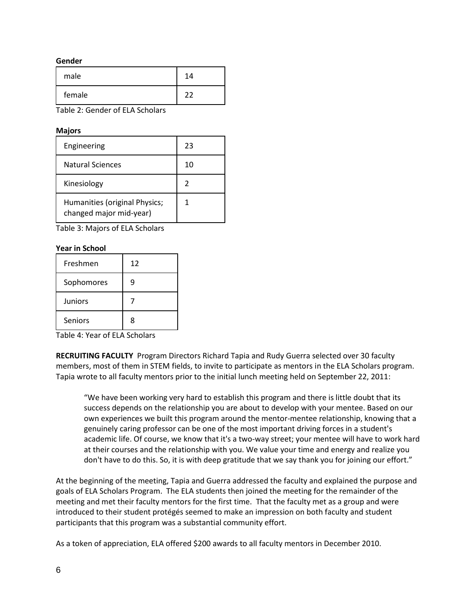#### **Gender**

| male   | 14 |
|--------|----|
| female |    |

Table 2: Gender of ELA Scholars

#### **Majors**

| Engineering                                              | 23 |
|----------------------------------------------------------|----|
| Natural Sciences                                         | 10 |
| Kinesiology                                              |    |
| Humanities (original Physics;<br>changed major mid-year) |    |

Table 3: Majors of ELA Scholars

#### **Year in School**

| Freshmen       | 12 |
|----------------|----|
| Sophomores     | g  |
| <b>Juniors</b> |    |
| Seniors        | Ջ  |

Table 4: Year of ELA Scholars

**RECRUITING FACULTY** Program Directors Richard Tapia and Rudy Guerra selected over 30 faculty members, most of them in STEM fields, to invite to participate as mentors in the ELA Scholars program. Tapia wrote to all faculty mentors prior to the initial lunch meeting held on September 22, 2011:

"We have been working very hard to establish this program and there is little doubt that its success depends on the relationship you are about to develop with your mentee. Based on our own experiences we built this program around the mentor-mentee relationship, knowing that a genuinely caring professor can be one of the most important driving forces in a student's academic life. Of course, we know that it's a two-way street; your mentee will have to work hard at their courses and the relationship with you. We value your time and energy and realize you don't have to do this. So, it is with deep gratitude that we say thank you for joining our effort."

At the beginning of the meeting, Tapia and Guerra addressed the faculty and explained the purpose and goals of ELA Scholars Program. The ELA students then joined the meeting for the remainder of the meeting and met their faculty mentors for the first time. That the faculty met as a group and were introduced to their student protégés seemed to make an impression on both faculty and student participants that this program was a substantial community effort.

As a token of appreciation, ELA offered \$200 awards to all faculty mentors in December 2010.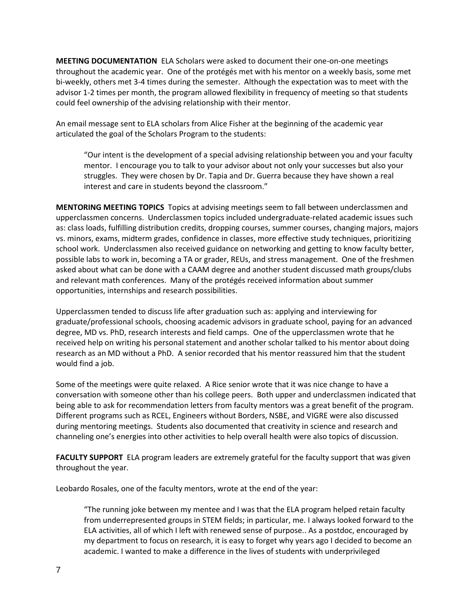**MEETING DOCUMENTATION** ELA Scholars were asked to document their one-on-one meetings throughout the academic year. One of the protégés met with his mentor on a weekly basis, some met bi-weekly, others met 3-4 times during the semester. Although the expectation was to meet with the advisor 1-2 times per month, the program allowed flexibility in frequency of meeting so that students could feel ownership of the advising relationship with their mentor.

An email message sent to ELA scholars from Alice Fisher at the beginning of the academic year articulated the goal of the Scholars Program to the students:

"Our intent is the development of a special advising relationship between you and your faculty mentor. I encourage you to talk to your advisor about not only your successes but also your struggles. They were chosen by Dr. Tapia and Dr. Guerra because they have shown a real interest and care in students beyond the classroom."

**MENTORING MEETING TOPICS** Topics at advising meetings seem to fall between underclassmen and upperclassmen concerns. Underclassmen topics included undergraduate-related academic issues such as: class loads, fulfilling distribution credits, dropping courses, summer courses, changing majors, majors vs. minors, exams, midterm grades, confidence in classes, more effective study techniques, prioritizing school work. Underclassmen also received guidance on networking and getting to know faculty better, possible labs to work in, becoming a TA or grader, REUs, and stress management. One of the freshmen asked about what can be done with a CAAM degree and another student discussed math groups/clubs and relevant math conferences. Many of the protégés received information about summer opportunities, internships and research possibilities.

Upperclassmen tended to discuss life after graduation such as: applying and interviewing for graduate/professional schools, choosing academic advisors in graduate school, paying for an advanced degree, MD vs. PhD, research interests and field camps. One of the upperclassmen wrote that he received help on writing his personal statement and another scholar talked to his mentor about doing research as an MD without a PhD. A senior recorded that his mentor reassured him that the student would find a job.

Some of the meetings were quite relaxed. A Rice senior wrote that it was nice change to have a conversation with someone other than his college peers. Both upper and underclassmen indicated that being able to ask for recommendation letters from faculty mentors was a great benefit of the program. Different programs such as RCEL, Engineers without Borders, NSBE, and VIGRE were also discussed during mentoring meetings. Students also documented that creativity in science and research and channeling one's energies into other activities to help overall health were also topics of discussion.

**FACULTY SUPPORT** ELA program leaders are extremely grateful for the faculty support that was given throughout the year.

Leobardo Rosales, one of the faculty mentors, wrote at the end of the year:

"The running joke between my mentee and I was that the ELA program helped retain faculty from underrepresented groups in STEM fields; in particular, me. I always looked forward to the ELA activities, all of which I left with renewed sense of purpose.. As a postdoc, encouraged by my department to focus on research, it is easy to forget why years ago I decided to become an academic. I wanted to make a difference in the lives of students with underprivileged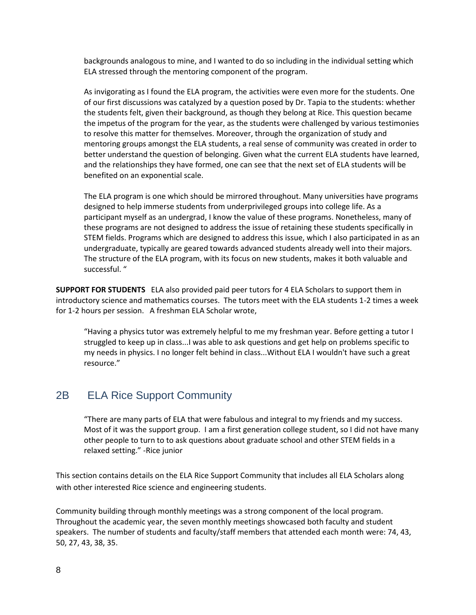backgrounds analogous to mine, and I wanted to do so including in the individual setting which ELA stressed through the mentoring component of the program.

As invigorating as I found the ELA program, the activities were even more for the students. One of our first discussions was catalyzed by a question posed by Dr. Tapia to the students: whether the students felt, given their background, as though they belong at Rice. This question became the impetus of the program for the year, as the students were challenged by various testimonies to resolve this matter for themselves. Moreover, through the organization of study and mentoring groups amongst the ELA students, a real sense of community was created in order to better understand the question of belonging. Given what the current ELA students have learned, and the relationships they have formed, one can see that the next set of ELA students will be benefited on an exponential scale.

The ELA program is one which should be mirrored throughout. Many universities have programs designed to help immerse students from underprivileged groups into college life. As a participant myself as an undergrad, I know the value of these programs. Nonetheless, many of these programs are not designed to address the issue of retaining these students specifically in STEM fields. Programs which are designed to address this issue, which I also participated in as an undergraduate, typically are geared towards advanced students already well into their majors. The structure of the ELA program, with its focus on new students, makes it both valuable and successful. "

**SUPPORT FOR STUDENTS** ELA also provided paid peer tutors for 4 ELA Scholars to support them in introductory science and mathematics courses. The tutors meet with the ELA students 1-2 times a week for 1-2 hours per session. A freshman ELA Scholar wrote,

"Having a physics tutor was extremely helpful to me my freshman year. Before getting a tutor I struggled to keep up in class...I was able to ask questions and get help on problems specific to my needs in physics. I no longer felt behind in class...Without ELA I wouldn't have such a great resource."

### 2B ELA Rice Support Community

"There are many parts of ELA that were fabulous and integral to my friends and my success. Most of it was the support group. I am a first generation college student, so I did not have many other people to turn to to ask questions about graduate school and other STEM fields in a relaxed setting." -Rice junior

This section contains details on the ELA Rice Support Community that includes all ELA Scholars along with other interested Rice science and engineering students.

Community building through monthly meetings was a strong component of the local program. Throughout the academic year, the seven monthly meetings showcased both faculty and student speakers. The number of students and faculty/staff members that attended each month were: 74, 43, 50, 27, 43, 38, 35.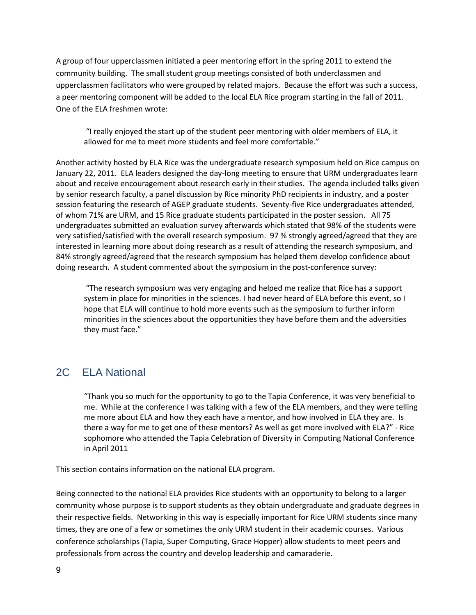A group of four upperclassmen initiated a peer mentoring effort in the spring 2011 to extend the community building. The small student group meetings consisted of both underclassmen and upperclassmen facilitators who were grouped by related majors. Because the effort was such a success, a peer mentoring component will be added to the local ELA Rice program starting in the fall of 2011. One of the ELA freshmen wrote:

"I really enjoyed the start up of the student peer mentoring with older members of ELA, it allowed for me to meet more students and feel more comfortable."

Another activity hosted by ELA Rice was the undergraduate research symposium held on Rice campus on January 22, 2011. ELA leaders designed the day-long meeting to ensure that URM undergraduates learn about and receive encouragement about research early in their studies. The agenda included talks given by senior research faculty, a panel discussion by Rice minority PhD recipients in industry, and a poster session featuring the research of AGEP graduate students. Seventy-five Rice undergraduates attended, of whom 71% are URM, and 15 Rice graduate students participated in the poster session. All 75 undergraduates submitted an evaluation survey afterwards which stated that 98% of the students were very satisfied/satisfied with the overall research symposium. 97 % strongly agreed/agreed that they are interested in learning more about doing research as a result of attending the research symposium, and 84% strongly agreed/agreed that the research symposium has helped them develop confidence about doing research. A student commented about the symposium in the post-conference survey:

"The research symposium was very engaging and helped me realize that Rice has a support system in place for minorities in the sciences. I had never heard of ELA before this event, so I hope that ELA will continue to hold more events such as the symposium to further inform minorities in the sciences about the opportunities they have before them and the adversities they must face."

# 2C ELA National

"Thank you so much for the opportunity to go to the Tapia Conference, it was very beneficial to me. While at the conference I was talking with a few of the ELA members, and they were telling me more about ELA and how they each have a mentor, and how involved in ELA they are. Is there a way for me to get one of these mentors? As well as get more involved with ELA?" - Rice sophomore who attended the Tapia Celebration of Diversity in Computing National Conference in April 2011

This section contains information on the national ELA program.

Being connected to the national ELA provides Rice students with an opportunity to belong to a larger community whose purpose is to support students as they obtain undergraduate and graduate degrees in their respective fields. Networking in this way is especially important for Rice URM students since many times, they are one of a few or sometimes the only URM student in their academic courses. Various conference scholarships (Tapia, Super Computing, Grace Hopper) allow students to meet peers and professionals from across the country and develop leadership and camaraderie.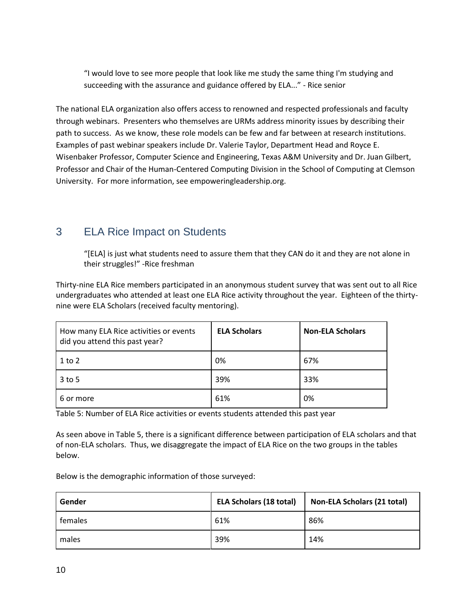"I would love to see more people that look like me study the same thing I'm studying and succeeding with the assurance and guidance offered by ELA..." - Rice senior

The national ELA organization also offers access to renowned and respected professionals and faculty through webinars. Presenters who themselves are URMs address minority issues by describing their path to success. As we know, these role models can be few and far between at research institutions. Examples of past webinar speakers include Dr. Valerie Taylor, Department Head and Royce E. Wisenbaker Professor, Computer Science and Engineering, Texas A&M University and Dr. Juan Gilbert, Professor and Chair of the Human-Centered Computing Division in the School of Computing at Clemson University. For more information, see empoweringleadership.org.

# 3 ELA Rice Impact on Students

"[ELA] is just what students need to assure them that they CAN do it and they are not alone in their struggles!" -Rice freshman

Thirty-nine ELA Rice members participated in an anonymous student survey that was sent out to all Rice undergraduates who attended at least one ELA Rice activity throughout the year. Eighteen of the thirtynine were ELA Scholars (received faculty mentoring).

| How many ELA Rice activities or events<br>did you attend this past year? | <b>ELA Scholars</b> | <b>Non-ELA Scholars</b> |
|--------------------------------------------------------------------------|---------------------|-------------------------|
| $1$ to $2$                                                               | 0%                  | 67%                     |
| $3$ to 5                                                                 | 39%                 | 33%                     |
| 6 or more                                                                | 61%                 | 0%                      |

Table 5: Number of ELA Rice activities or events students attended this past year

As seen above in Table 5, there is a significant difference between participation of ELA scholars and that of non-ELA scholars. Thus, we disaggregate the impact of ELA Rice on the two groups in the tables below.

Below is the demographic information of those surveyed:

| Gender  | <b>ELA Scholars (18 total)</b> | <b>Non-ELA Scholars (21 total)</b> |
|---------|--------------------------------|------------------------------------|
| females | 61%                            | 86%                                |
| males   | 39%                            | 14%                                |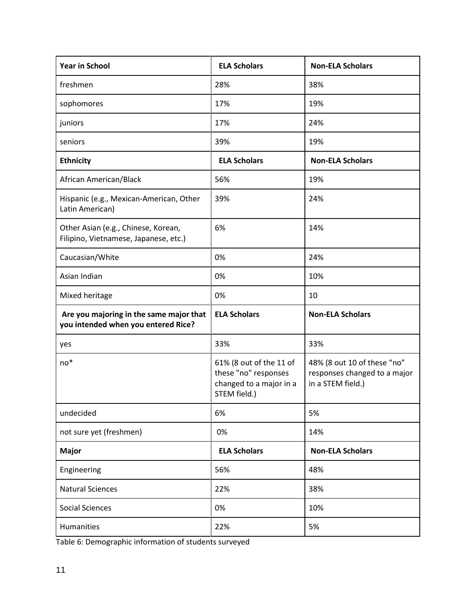| <b>Year in School</b>                                                          | <b>ELA Scholars</b>                                                                        | <b>Non-ELA Scholars</b>                                                          |  |
|--------------------------------------------------------------------------------|--------------------------------------------------------------------------------------------|----------------------------------------------------------------------------------|--|
| freshmen                                                                       | 28%                                                                                        | 38%                                                                              |  |
| sophomores                                                                     | 17%                                                                                        | 19%                                                                              |  |
| juniors                                                                        | 17%                                                                                        | 24%                                                                              |  |
| seniors                                                                        | 39%                                                                                        | 19%                                                                              |  |
| <b>Ethnicity</b>                                                               | <b>ELA Scholars</b>                                                                        | <b>Non-ELA Scholars</b>                                                          |  |
| African American/Black                                                         | 56%                                                                                        | 19%                                                                              |  |
| Hispanic (e.g., Mexican-American, Other<br>Latin American)                     | 39%                                                                                        | 24%                                                                              |  |
| Other Asian (e.g., Chinese, Korean,<br>Filipino, Vietnamese, Japanese, etc.)   | 6%                                                                                         | 14%                                                                              |  |
| Caucasian/White                                                                | 0%                                                                                         | 24%                                                                              |  |
| Asian Indian                                                                   | 0%                                                                                         | 10%                                                                              |  |
| Mixed heritage                                                                 | 0%                                                                                         | 10                                                                               |  |
| Are you majoring in the same major that<br>you intended when you entered Rice? | <b>ELA Scholars</b>                                                                        | <b>Non-ELA Scholars</b>                                                          |  |
| yes                                                                            | 33%                                                                                        | 33%                                                                              |  |
| $no*$                                                                          | 61% (8 out of the 11 of<br>these "no" responses<br>changed to a major in a<br>STEM field.) | 48% (8 out 10 of these "no"<br>responses changed to a major<br>in a STEM field.) |  |
| undecided                                                                      | 6%                                                                                         | 5%                                                                               |  |
| not sure yet (freshmen)                                                        | 0%                                                                                         | 14%                                                                              |  |
| <b>Major</b>                                                                   | <b>ELA Scholars</b>                                                                        | <b>Non-ELA Scholars</b>                                                          |  |
| Engineering                                                                    | 56%                                                                                        | 48%                                                                              |  |
| <b>Natural Sciences</b>                                                        | 22%                                                                                        | 38%                                                                              |  |
| <b>Social Sciences</b>                                                         | 0%                                                                                         | 10%                                                                              |  |
| Humanities                                                                     | 22%                                                                                        | 5%                                                                               |  |

Table 6: Demographic information of students surveyed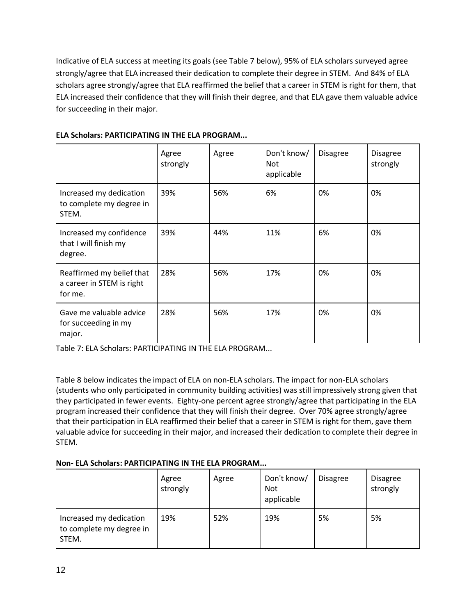Indicative of ELA success at meeting its goals (see Table 7 below), 95% of ELA scholars surveyed agree strongly/agree that ELA increased their dedication to complete their degree in STEM. And 84% of ELA scholars agree strongly/agree that ELA reaffirmed the belief that a career in STEM is right for them, that ELA increased their confidence that they will finish their degree, and that ELA gave them valuable advice for succeeding in their major.

|                                                                   | Agree<br>strongly | Agree | Don't know/<br>Not<br>applicable | <b>Disagree</b> | <b>Disagree</b><br>strongly |
|-------------------------------------------------------------------|-------------------|-------|----------------------------------|-----------------|-----------------------------|
| Increased my dedication<br>to complete my degree in<br>STEM.      | 39%               | 56%   | 6%                               | 0%              | 0%                          |
| Increased my confidence<br>that I will finish my<br>degree.       | 39%               | 44%   | 11%                              | 6%              | 0%                          |
| Reaffirmed my belief that<br>a career in STEM is right<br>for me. | 28%               | 56%   | 17%                              | 0%              | 0%                          |
| Gave me valuable advice<br>for succeeding in my<br>major.         | 28%               | 56%   | 17%                              | 0%              | 0%                          |

### **ELA Scholars: PARTICIPATING IN THE ELA PROGRAM...**

Table 7: ELA Scholars: PARTICIPATING IN THE ELA PROGRAM...

Table 8 below indicates the impact of ELA on non-ELA scholars. The impact for non-ELA scholars (students who only participated in community building activities) was still impressively strong given that they participated in fewer events. Eighty-one percent agree strongly/agree that participating in the ELA program increased their confidence that they will finish their degree. Over 70% agree strongly/agree that their participation in ELA reaffirmed their belief that a career in STEM is right for them, gave them valuable advice for succeeding in their major, and increased their dedication to complete their degree in STEM.

### **Non- ELA Scholars: PARTICIPATING IN THE ELA PROGRAM...**

|                                                              | Agree<br>strongly | Agree | Don't know/<br><b>Not</b><br>applicable | <b>Disagree</b> | <b>Disagree</b><br>strongly |
|--------------------------------------------------------------|-------------------|-------|-----------------------------------------|-----------------|-----------------------------|
| Increased my dedication<br>to complete my degree in<br>STEM. | 19%               | 52%   | 19%                                     | 5%              | 5%                          |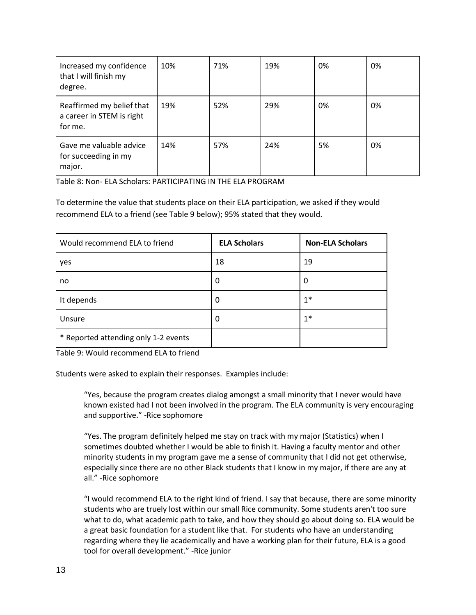| Increased my confidence<br>that I will finish my<br>degree.       | 10% | 71% | 19% | 0% | 0% |
|-------------------------------------------------------------------|-----|-----|-----|----|----|
| Reaffirmed my belief that<br>a career in STEM is right<br>for me. | 19% | 52% | 29% | 0% | 0% |
| Gave me valuable advice<br>for succeeding in my<br>major.         | 14% | 57% | 24% | 5% | 0% |

Table 8: Non- ELA Scholars: PARTICIPATING IN THE ELA PROGRAM

To determine the value that students place on their ELA participation, we asked if they would recommend ELA to a friend (see Table 9 below); 95% stated that they would.

| Would recommend ELA to friend        | <b>ELA Scholars</b> | <b>Non-ELA Scholars</b> |
|--------------------------------------|---------------------|-------------------------|
| yes                                  | 18                  | 19                      |
| no                                   | 0                   | 0                       |
| It depends                           | 0                   | $1*$                    |
| Unsure                               | 0                   | $1*$                    |
| * Reported attending only 1-2 events |                     |                         |

Table 9: Would recommend ELA to friend

Students were asked to explain their responses. Examples include:

"Yes, because the program creates dialog amongst a small minority that I never would have known existed had I not been involved in the program. The ELA community is very encouraging and supportive." -Rice sophomore

"Yes. The program definitely helped me stay on track with my major (Statistics) when I sometimes doubted whether I would be able to finish it. Having a faculty mentor and other minority students in my program gave me a sense of community that I did not get otherwise, especially since there are no other Black students that I know in my major, if there are any at all." -Rice sophomore

"I would recommend ELA to the right kind of friend. I say that because, there are some minority students who are truely lost within our small Rice community. Some students aren't too sure what to do, what academic path to take, and how they should go about doing so. ELA would be a great basic foundation for a student like that. For students who have an understanding regarding where they lie academically and have a working plan for their future, ELA is a good tool for overall development." -Rice junior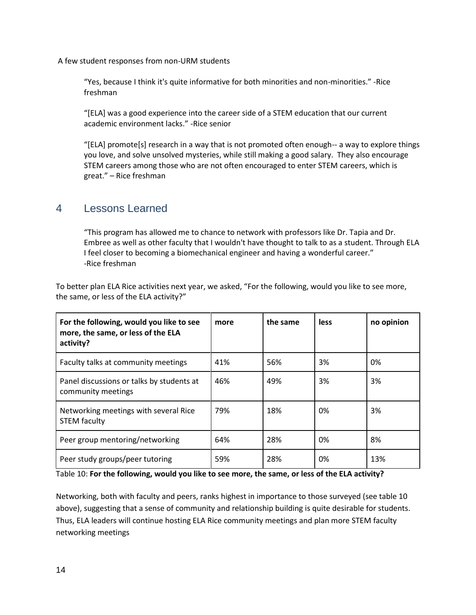A few student responses from non-URM students

"Yes, because I think it's quite informative for both minorities and non-minorities." -Rice freshman

"[ELA] was a good experience into the career side of a STEM education that our current academic environment lacks." -Rice senior

"[ELA] promote[s] research in a way that is not promoted often enough-- a way to explore things you love, and solve unsolved mysteries, while still making a good salary. They also encourage STEM careers among those who are not often encouraged to enter STEM careers, which is great." – Rice freshman

### 4 Lessons Learned

"This program has allowed me to chance to network with professors like Dr. Tapia and Dr. Embree as well as other faculty that I wouldn't have thought to talk to as a student. Through ELA I feel closer to becoming a biomechanical engineer and having a wonderful career." -Rice freshman

To better plan ELA Rice activities next year, we asked, "For the following, would you like to see more, the same, or less of the ELA activity?"

| For the following, would you like to see<br>more, the same, or less of the ELA<br>activity? | more | the same | less | no opinion |
|---------------------------------------------------------------------------------------------|------|----------|------|------------|
| Faculty talks at community meetings                                                         | 41%  | 56%      | 3%   | 0%         |
| Panel discussions or talks by students at<br>community meetings                             | 46%  | 49%      | 3%   | 3%         |
| Networking meetings with several Rice<br><b>STEM faculty</b>                                | 79%  | 18%      | በ%   | 3%         |
| Peer group mentoring/networking                                                             | 64%  | 28%      | 0%   | 8%         |
| Peer study groups/peer tutoring                                                             | 59%  | 28%      | 0%   | 13%        |

Table 10: **For the following, would you like to see more, the same, or less of the ELA activity?**

Networking, both with faculty and peers, ranks highest in importance to those surveyed (see table 10 above), suggesting that a sense of community and relationship building is quite desirable for students. Thus, ELA leaders will continue hosting ELA Rice community meetings and plan more STEM faculty networking meetings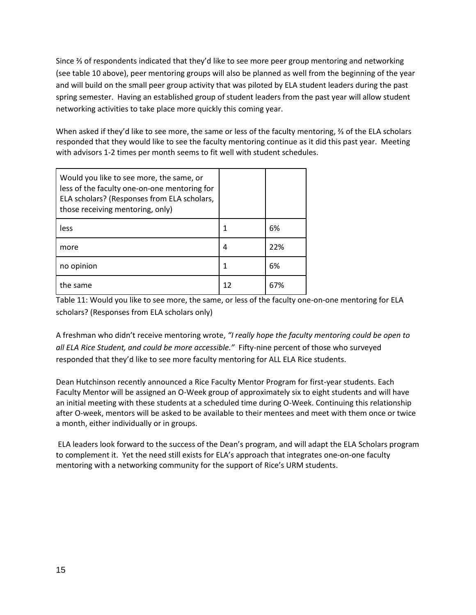Since ⅔ of respondents indicated that they'd like to see more peer group mentoring and networking (see table 10 above), peer mentoring groups will also be planned as well from the beginning of the year and will build on the small peer group activity that was piloted by ELA student leaders during the past spring semester. Having an established group of student leaders from the past year will allow student networking activities to take place more quickly this coming year.

When asked if they'd like to see more, the same or less of the faculty mentoring, ⅔ of the ELA scholars responded that they would like to see the faculty mentoring continue as it did this past year. Meeting with advisors 1-2 times per month seems to fit well with student schedules.

| Would you like to see more, the same, or<br>less of the faculty one-on-one mentoring for<br>ELA scholars? (Responses from ELA scholars,<br>those receiving mentoring, only) |    |     |
|-----------------------------------------------------------------------------------------------------------------------------------------------------------------------------|----|-----|
| less                                                                                                                                                                        |    | 6%  |
| more                                                                                                                                                                        | 4  | 22% |
| no opinion                                                                                                                                                                  |    | 6%  |
| the same                                                                                                                                                                    | 12 | 67% |

Table 11: Would you like to see more, the same, or less of the faculty one-on-one mentoring for ELA scholars? (Responses from ELA scholars only)

A freshman who didn't receive mentoring wrote, *"I really hope the faculty mentoring could be open to all ELA Rice Student, and could be more accessible."* Fifty-nine percent of those who surveyed responded that they'd like to see more faculty mentoring for ALL ELA Rice students.

Dean Hutchinson recently announced a Rice Faculty Mentor Program for first-year students. Each Faculty Mentor will be assigned an O-Week group of approximately six to eight students and will have an initial meeting with these students at a scheduled time during O-Week. Continuing this relationship after O-week, mentors will be asked to be available to their mentees and meet with them once or twice a month, either individually or in groups.

ELA leaders look forward to the success of the Dean's program, and will adapt the ELA Scholars program to complement it. Yet the need still exists for ELA's approach that integrates one-on-one faculty mentoring with a networking community for the support of Rice's URM students.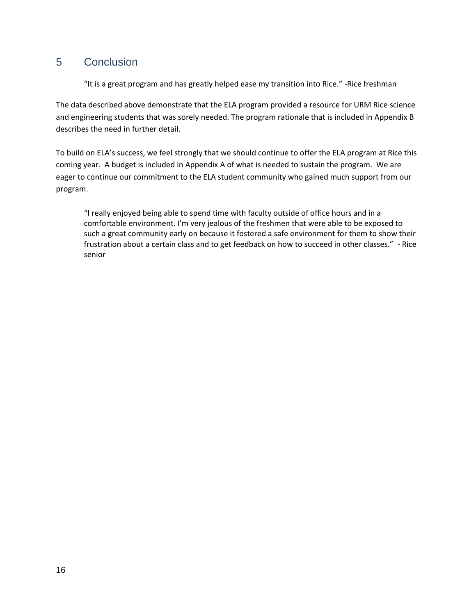### 5 Conclusion

"It is a great program and has greatly helped ease my transition into Rice." -Rice freshman

The data described above demonstrate that the ELA program provided a resource for URM Rice science and engineering students that was sorely needed. The program rationale that is included in Appendix B describes the need in further detail.

To build on ELA's success, we feel strongly that we should continue to offer the ELA program at Rice this coming year. A budget is included in Appendix A of what is needed to sustain the program. We are eager to continue our commitment to the ELA student community who gained much support from our program.

"I really enjoyed being able to spend time with faculty outside of office hours and in a comfortable environment. I'm very jealous of the freshmen that were able to be exposed to such a great community early on because it fostered a safe environment for them to show their frustration about a certain class and to get feedback on how to succeed in other classes." - Rice senior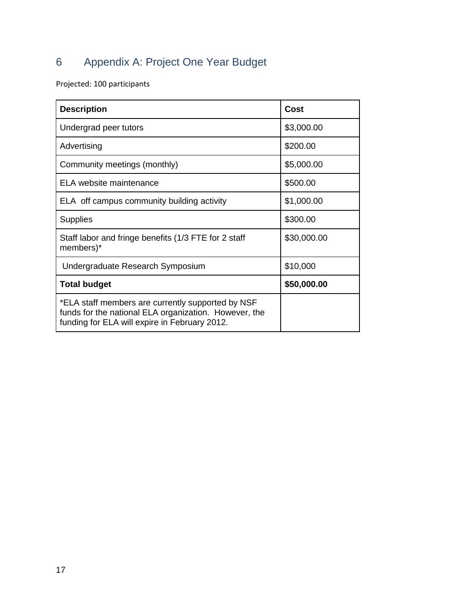# 6 Appendix A: Project One Year Budget

Projected: 100 participants

| <b>Description</b>                                                                                                                                          | <b>Cost</b> |
|-------------------------------------------------------------------------------------------------------------------------------------------------------------|-------------|
| Undergrad peer tutors                                                                                                                                       | \$3,000.00  |
| Advertising                                                                                                                                                 | \$200.00    |
| Community meetings (monthly)                                                                                                                                | \$5,000.00  |
| ELA website maintenance                                                                                                                                     | \$500.00    |
| ELA off campus community building activity                                                                                                                  | \$1,000.00  |
| <b>Supplies</b>                                                                                                                                             | \$300.00    |
| Staff labor and fringe benefits (1/3 FTE for 2 staff<br>members)*                                                                                           | \$30,000.00 |
| Undergraduate Research Symposium                                                                                                                            | \$10,000    |
| <b>Total budget</b>                                                                                                                                         | \$50,000.00 |
| *ELA staff members are currently supported by NSF<br>funds for the national ELA organization. However, the<br>funding for ELA will expire in February 2012. |             |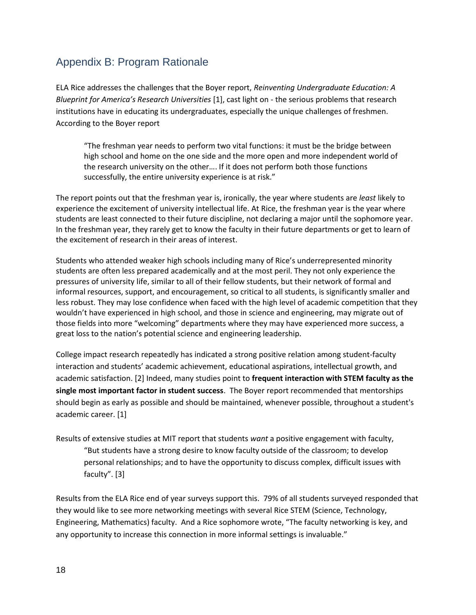# Appendix B: Program Rationale

ELA Rice addresses the challenges that the Boyer report, *Reinventing Undergraduate Education: A Blueprint for America's Research Universities* [1], cast light on - the serious problems that research institutions have in educating its undergraduates, especially the unique challenges of freshmen. According to the Boyer report

"The freshman year needs to perform two vital functions: it must be the bridge between high school and home on the one side and the more open and more independent world of the research university on the other…. If it does not perform both those functions successfully, the entire university experience is at risk."

The report points out that the freshman year is, ironically, the year where students are *least* likely to experience the excitement of university intellectual life. At Rice, the freshman year is the year where students are least connected to their future discipline, not declaring a major until the sophomore year. In the freshman year, they rarely get to know the faculty in their future departments or get to learn of the excitement of research in their areas of interest.

Students who attended weaker high schools including many of Rice's underrepresented minority students are often less prepared academically and at the most peril. They not only experience the pressures of university life, similar to all of their fellow students, but their network of formal and informal resources, support, and encouragement, so critical to all students, is significantly smaller and less robust. They may lose confidence when faced with the high level of academic competition that they wouldn't have experienced in high school, and those in science and engineering, may migrate out of those fields into more "welcoming" departments where they may have experienced more success, a great loss to the nation's potential science and engineering leadership.

College impact research repeatedly has indicated a strong positive relation among student-faculty interaction and students' academic achievement, educational aspirations, intellectual growth, and academic satisfaction. [2] Indeed, many studies point to **frequent interaction with STEM faculty as the single most important factor in student success**. The Boyer report recommended that mentorships should begin as early as possible and should be maintained, whenever possible, throughout a student's academic career. [1]

Results of extensive studies at MIT report that students *want* a positive engagement with faculty, "But students have a strong desire to know faculty outside of the classroom; to develop personal relationships; and to have the opportunity to discuss complex, difficult issues with faculty".  $[3]$ 

Results from the ELA Rice end of year surveys support this. 79% of all students surveyed responded that they would like to see more networking meetings with several Rice STEM (Science, Technology, Engineering, Mathematics) faculty. And a Rice sophomore wrote, "The faculty networking is key, and any opportunity to increase this connection in more informal settings is invaluable."